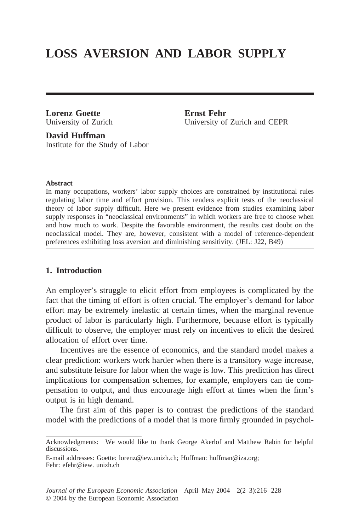# **LOSS AVERSION AND LABOR SUPPLY**

**Lorenz Goette** University of Zurich **Ernst Fehr** University of Zurich and CEPR

**David Huffman** Institute for the Study of Labor

#### **Abstract**

In many occupations, workers' labor supply choices are constrained by institutional rules regulating labor time and effort provision. This renders explicit tests of the neoclassical theory of labor supply difficult. Here we present evidence from studies examining labor supply responses in "neoclassical environments" in which workers are free to choose when and how much to work. Despite the favorable environment, the results cast doubt on the neoclassical model. They are, however, consistent with a model of reference-dependent preferences exhibiting loss aversion and diminishing sensitivity. (JEL: J22, B49)

# **1. Introduction**

An employer's struggle to elicit effort from employees is complicated by the fact that the timing of effort is often crucial. The employer's demand for labor effort may be extremely inelastic at certain times, when the marginal revenue product of labor is particularly high. Furthermore, because effort is typically difficult to observe, the employer must rely on incentives to elicit the desired allocation of effort over time.

Incentives are the essence of economics, and the standard model makes a clear prediction: workers work harder when there is a transitory wage increase, and substitute leisure for labor when the wage is low. This prediction has direct implications for compensation schemes, for example, employers can tie compensation to output, and thus encourage high effort at times when the firm's output is in high demand.

The first aim of this paper is to contrast the predictions of the standard model with the predictions of a model that is more firmly grounded in psychol-

Acknowledgments: We would like to thank George Akerlof and Matthew Rabin for helpful discussions.

E-mail addresses: Goette: lorenz@iew.unizh.ch; Huffman: huffman@iza.org; Fehr: efehr@iew. unizh.ch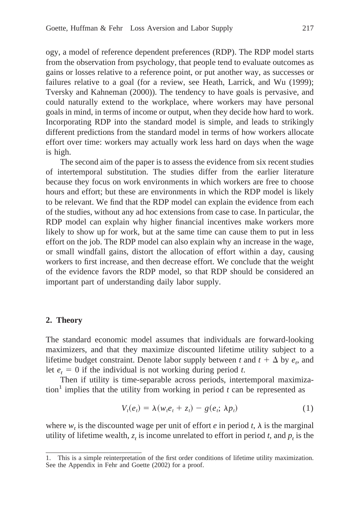ogy, a model of reference dependent preferences (RDP). The RDP model starts from the observation from psychology, that people tend to evaluate outcomes as gains or losses relative to a reference point, or put another way, as successes or failures relative to a goal (for a review, see Heath, Larrick, and Wu (1999); Tversky and Kahneman (2000)). The tendency to have goals is pervasive, and could naturally extend to the workplace, where workers may have personal goals in mind, in terms of income or output, when they decide how hard to work. Incorporating RDP into the standard model is simple, and leads to strikingly different predictions from the standard model in terms of how workers allocate effort over time: workers may actually work less hard on days when the wage is high.

The second aim of the paper is to assess the evidence from six recent studies of intertemporal substitution. The studies differ from the earlier literature because they focus on work environments in which workers are free to choose hours and effort; but these are environments in which the RDP model is likely to be relevant. We find that the RDP model can explain the evidence from each of the studies, without any ad hoc extensions from case to case. In particular, the RDP model can explain why higher financial incentives make workers more likely to show up for work, but at the same time can cause them to put in less effort on the job. The RDP model can also explain why an increase in the wage, or small windfall gains, distort the allocation of effort within a day, causing workers to first increase, and then decrease effort. We conclude that the weight of the evidence favors the RDP model, so that RDP should be considered an important part of understanding daily labor supply.

## **2. Theory**

The standard economic model assumes that individuals are forward-looking maximizers, and that they maximize discounted lifetime utility subject to a lifetime budget constraint. Denote labor supply between *t* and  $t + \Delta$  by  $e_t$ , and let  $e_t = 0$  if the individual is not working during period *t*.

Then if utility is time-separable across periods, intertemporal maximization<sup>1</sup> implies that the utility from working in period  $t$  can be represented as

$$
V_t(e_t) = \lambda (w_t e_t + z_t) - g(e_t; \lambda p_t)
$$
 (1)

where  $w_t$  is the discounted wage per unit of effort *e* in period *t*,  $\lambda$  is the marginal utility of lifetime wealth,  $z_t$  is income unrelated to effort in period *t*, and  $p_t$  is the

<sup>1.</sup> This is a simple reinterpretation of the first order conditions of lifetime utility maximization. See the Appendix in Fehr and Goette (2002) for a proof.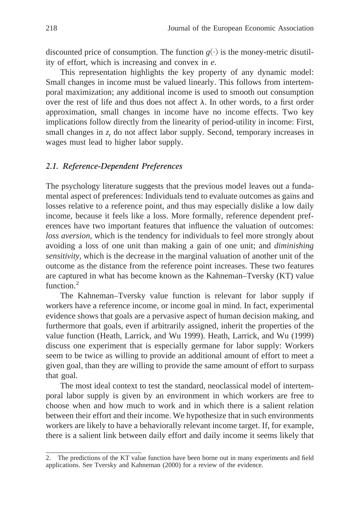discounted price of consumption. The function  $g(\cdot)$  is the money-metric disutility of effort, which is increasing and convex in *e*.

This representation highlights the key property of any dynamic model: Small changes in income must be valued linearly. This follows from intertemporal maximization; any additional income is used to smooth out consumption over the rest of life and thus does not affect  $\lambda$ . In other words, to a first order approximation, small changes in income have no income effects. Two key implications follow directly from the linearity of period-utility in income: First, small changes in  $z_t$  do not affect labor supply. Second, temporary increases in wages must lead to higher labor supply.

# *2.1. Reference-Dependent Preferences*

The psychology literature suggests that the previous model leaves out a fundamental aspect of preferences: Individuals tend to evaluate outcomes as gains and losses relative to a reference point, and thus may especially dislike a low daily income, because it feels like a loss. More formally, reference dependent preferences have two important features that influence the valuation of outcomes: *loss aversion,* which is the tendency for individuals to feel more strongly about avoiding a loss of one unit than making a gain of one unit; and *diminishing sensitivity,* which is the decrease in the marginal valuation of another unit of the outcome as the distance from the reference point increases. These two features are captured in what has become known as the Kahneman–Tversky (KT) value function.<sup>2</sup>

The Kahneman–Tversky value function is relevant for labor supply if workers have a reference income, or income goal in mind. In fact, experimental evidence shows that goals are a pervasive aspect of human decision making, and furthermore that goals, even if arbitrarily assigned, inherit the properties of the value function (Heath, Larrick, and Wu 1999). Heath, Larrick, and Wu (1999) discuss one experiment that is especially germane for labor supply: Workers seem to be twice as willing to provide an additional amount of effort to meet a given goal, than they are willing to provide the same amount of effort to surpass that goal.

The most ideal context to test the standard, neoclassical model of intertemporal labor supply is given by an environment in which workers are free to choose when and how much to work and in which there is a salient relation between their effort and their income. We hypothesize that in such environments workers are likely to have a behaviorally relevant income target. If, for example, there is a salient link between daily effort and daily income it seems likely that

The predictions of the KT value function have been borne out in many experiments and field applications. See Tversky and Kahneman (2000) for a review of the evidence.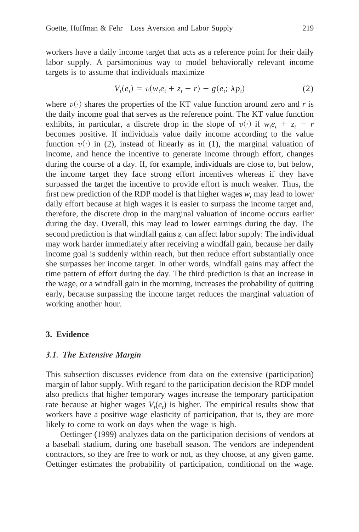workers have a daily income target that acts as a reference point for their daily labor supply. A parsimonious way to model behaviorally relevant income targets is to assume that individuals maximize

$$
V_t(e_t) = v(w_t e_t + z_t - r) - g(e_t; \lambda p_t)
$$
 (2)

where  $v(\cdot)$  shares the properties of the KT value function around zero and *r* is the daily income goal that serves as the reference point. The KT value function exhibits, in particular, a discrete drop in the slope of  $v(\cdot)$  if  $w_t e_t + z_t - r$ becomes positive. If individuals value daily income according to the value function  $v(\cdot)$  in (2), instead of linearly as in (1), the marginal valuation of income, and hence the incentive to generate income through effort, changes during the course of a day. If, for example, individuals are close to, but below, the income target they face strong effort incentives whereas if they have surpassed the target the incentive to provide effort is much weaker. Thus, the first new prediction of the RDP model is that higher wages  $w_t$  may lead to lower daily effort because at high wages it is easier to surpass the income target and, therefore, the discrete drop in the marginal valuation of income occurs earlier during the day. Overall, this may lead to lower earnings during the day. The second prediction is that windfall gains  $z_t$  can affect labor supply: The individual may work harder immediately after receiving a windfall gain, because her daily income goal is suddenly within reach, but then reduce effort substantially once she surpasses her income target. In other words, windfall gains may affect the time pattern of effort during the day. The third prediction is that an increase in the wage, or a windfall gain in the morning, increases the probability of quitting early, because surpassing the income target reduces the marginal valuation of working another hour.

# **3. Evidence**

#### *3.1. The Extensive Margin*

This subsection discusses evidence from data on the extensive (participation) margin of labor supply. With regard to the participation decision the RDP model also predicts that higher temporary wages increase the temporary participation rate because at higher wages  $V_t(e_t)$  is higher. The empirical results show that workers have a positive wage elasticity of participation, that is, they are more likely to come to work on days when the wage is high.

Oettinger (1999) analyzes data on the participation decisions of vendors at a baseball stadium, during one baseball season. The vendors are independent contractors, so they are free to work or not, as they choose, at any given game. Oettinger estimates the probability of participation, conditional on the wage.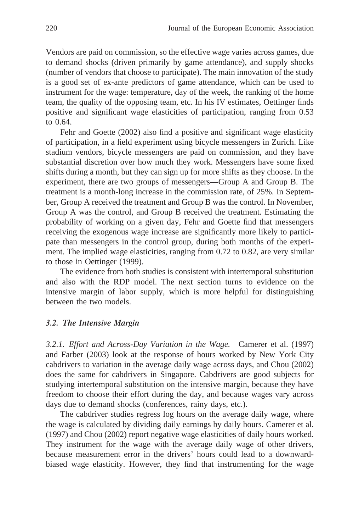Vendors are paid on commission, so the effective wage varies across games, due to demand shocks (driven primarily by game attendance), and supply shocks (number of vendors that choose to participate). The main innovation of the study is a good set of ex-ante predictors of game attendance, which can be used to instrument for the wage: temperature, day of the week, the ranking of the home team, the quality of the opposing team, etc. In his IV estimates, Oettinger finds positive and significant wage elasticities of participation, ranging from 0.53 to 0.64.

Fehr and Goette (2002) also find a positive and significant wage elasticity of participation, in a field experiment using bicycle messengers in Zurich. Like stadium vendors, bicycle messengers are paid on commission, and they have substantial discretion over how much they work. Messengers have some fixed shifts during a month, but they can sign up for more shifts as they choose. In the experiment, there are two groups of messengers—Group A and Group B. The treatment is a month-long increase in the commission rate, of 25%. In September, Group A received the treatment and Group B was the control. In November, Group A was the control, and Group B received the treatment. Estimating the probability of working on a given day, Fehr and Goette find that messengers receiving the exogenous wage increase are significantly more likely to participate than messengers in the control group, during both months of the experiment. The implied wage elasticities, ranging from 0.72 to 0.82, are very similar to those in Oettinger (1999).

The evidence from both studies is consistent with intertemporal substitution and also with the RDP model. The next section turns to evidence on the intensive margin of labor supply, which is more helpful for distinguishing between the two models.

## *3.2. The Intensive Margin*

*3.2.1. Effort and Across-Day Variation in the Wage.* Camerer et al. (1997) and Farber (2003) look at the response of hours worked by New York City cabdrivers to variation in the average daily wage across days, and Chou (2002) does the same for cabdrivers in Singapore. Cabdrivers are good subjects for studying intertemporal substitution on the intensive margin, because they have freedom to choose their effort during the day, and because wages vary across days due to demand shocks (conferences, rainy days, etc.).

The cabdriver studies regress log hours on the average daily wage, where the wage is calculated by dividing daily earnings by daily hours. Camerer et al. (1997) and Chou (2002) report negative wage elasticities of daily hours worked. They instrument for the wage with the average daily wage of other drivers, because measurement error in the drivers' hours could lead to a downwardbiased wage elasticity. However, they find that instrumenting for the wage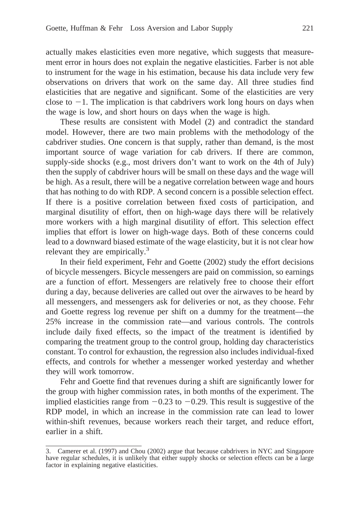actually makes elasticities even more negative, which suggests that measurement error in hours does not explain the negative elasticities. Farber is not able to instrument for the wage in his estimation, because his data include very few observations on drivers that work on the same day. All three studies find elasticities that are negative and significant. Some of the elasticities are very close to  $-1$ . The implication is that cabdrivers work long hours on days when the wage is low, and short hours on days when the wage is high.

These results are consistent with Model (2) and contradict the standard model. However, there are two main problems with the methodology of the cabdriver studies. One concern is that supply, rather than demand, is the most important source of wage variation for cab drivers. If there are common, supply-side shocks (e.g., most drivers don't want to work on the 4th of July) then the supply of cabdriver hours will be small on these days and the wage will be high. As a result, there will be a negative correlation between wage and hours that has nothing to do with RDP. A second concern is a possible selection effect. If there is a positive correlation between fixed costs of participation, and marginal disutility of effort, then on high-wage days there will be relatively more workers with a high marginal disutility of effort. This selection effect implies that effort is lower on high-wage days. Both of these concerns could lead to a downward biased estimate of the wage elasticity, but it is not clear how relevant they are empirically.<sup>3</sup>

In their field experiment, Fehr and Goette (2002) study the effort decisions of bicycle messengers. Bicycle messengers are paid on commission, so earnings are a function of effort. Messengers are relatively free to choose their effort during a day, because deliveries are called out over the airwaves to be heard by all messengers, and messengers ask for deliveries or not, as they choose. Fehr and Goette regress log revenue per shift on a dummy for the treatment—the 25% increase in the commission rate—and various controls. The controls include daily fixed effects, so the impact of the treatment is identified by comparing the treatment group to the control group, holding day characteristics constant. To control for exhaustion, the regression also includes individual-fixed effects, and controls for whether a messenger worked yesterday and whether they will work tomorrow.

Fehr and Goette find that revenues during a shift are significantly lower for the group with higher commission rates, in both months of the experiment. The implied elasticities range from  $-0.23$  to  $-0.29$ . This result is suggestive of the RDP model, in which an increase in the commission rate can lead to lower within-shift revenues, because workers reach their target, and reduce effort, earlier in a shift.

<sup>3.</sup> Camerer et al. (1997) and Chou (2002) argue that because cabdrivers in NYC and Singapore have regular schedules, it is unlikely that either supply shocks or selection effects can be a large factor in explaining negative elasticities.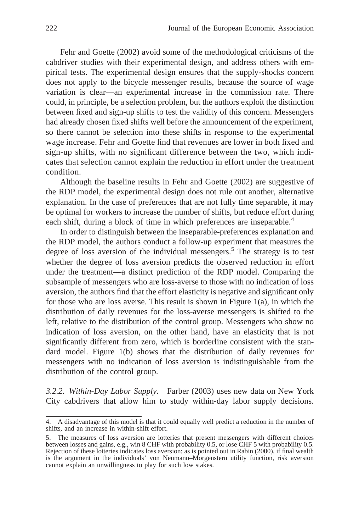Fehr and Goette (2002) avoid some of the methodological criticisms of the cabdriver studies with their experimental design, and address others with empirical tests. The experimental design ensures that the supply-shocks concern does not apply to the bicycle messenger results, because the source of wage variation is clear—an experimental increase in the commission rate. There could, in principle, be a selection problem, but the authors exploit the distinction between fixed and sign-up shifts to test the validity of this concern. Messengers had already chosen fixed shifts well before the announcement of the experiment, so there cannot be selection into these shifts in response to the experimental wage increase. Fehr and Goette find that revenues are lower in both fixed and sign-up shifts, with no significant difference between the two, which indicates that selection cannot explain the reduction in effort under the treatment condition.

Although the baseline results in Fehr and Goette (2002) are suggestive of the RDP model, the experimental design does not rule out another, alternative explanation. In the case of preferences that are not fully time separable, it may be optimal for workers to increase the number of shifts, but reduce effort during each shift, during a block of time in which preferences are inseparable.<sup>4</sup>

In order to distinguish between the inseparable-preferences explanation and the RDP model, the authors conduct a follow-up experiment that measures the degree of loss aversion of the individual messengers.<sup>5</sup> The strategy is to test whether the degree of loss aversion predicts the observed reduction in effort under the treatment—a distinct prediction of the RDP model. Comparing the subsample of messengers who are loss-averse to those with no indication of loss aversion, the authors find that the effort elasticity is negative and significant only for those who are loss averse. This result is shown in Figure 1(a), in which the distribution of daily revenues for the loss-averse messengers is shifted to the left, relative to the distribution of the control group. Messengers who show no indication of loss aversion, on the other hand, have an elasticity that is not significantly different from zero, which is borderline consistent with the standard model. Figure 1(b) shows that the distribution of daily revenues for messengers with no indication of loss aversion is indistinguishable from the distribution of the control group.

*3.2.2. Within-Day Labor Supply.* Farber (2003) uses new data on New York City cabdrivers that allow him to study within-day labor supply decisions.

<sup>4.</sup> A disadvantage of this model is that it could equally well predict a reduction in the number of shifts, and an increase in within-shift effort.

<sup>5.</sup> The measures of loss aversion are lotteries that present messengers with different choices between losses and gains, e.g., win 8 CHF with probability 0.5, or lose CHF 5 with probability 0.5. Rejection of these lotteries indicates loss aversion; as is pointed out in Rabin (2000), if final wealth is the argument in the individuals' von Neumann–Morgenstern utility function, risk aversion cannot explain an unwillingness to play for such low stakes.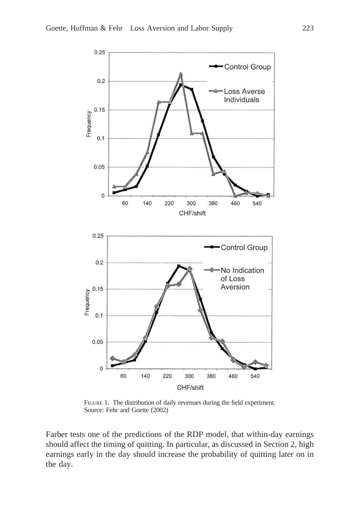

FIGURE 1. The distribution of daily revenues during the field experiment. Source: Fehr and Goette (2002)

Farber tests one of the predictions of the RDP model, that within-day earnings should affect the timing of quitting. In particular, as discussed in Section 2, high earnings early in the day should increase the probability of quitting later on in the day.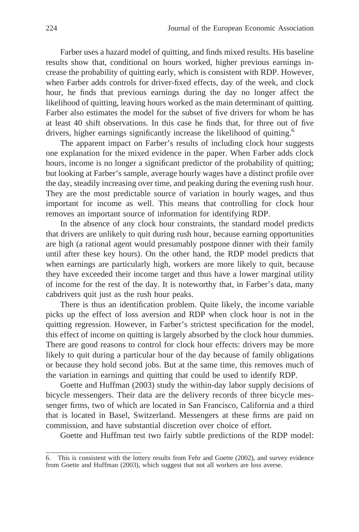Farber uses a hazard model of quitting, and finds mixed results. His baseline results show that, conditional on hours worked, higher previous earnings increase the probability of quitting early, which is consistent with RDP. However, when Farber adds controls for driver-fixed effects, day of the week, and clock hour, he finds that previous earnings during the day no longer affect the likelihood of quitting, leaving hours worked as the main determinant of quitting. Farber also estimates the model for the subset of five drivers for whom he has at least 40 shift observations. In this case he finds that, for three out of five drivers, higher earnings significantly increase the likelihood of quitting.<sup>6</sup>

The apparent impact on Farber's results of including clock hour suggests one explanation for the mixed evidence in the paper. When Farber adds clock hours, income is no longer a significant predictor of the probability of quitting; but looking at Farber's sample, average hourly wages have a distinct profile over the day, steadily increasing over time, and peaking during the evening rush hour. They are the most predictable source of variation in hourly wages, and thus important for income as well. This means that controlling for clock hour removes an important source of information for identifying RDP.

In the absence of any clock hour constraints, the standard model predicts that drivers are unlikely to quit during rush hour, because earning opportunities are high (a rational agent would presumably postpone dinner with their family until after these key hours). On the other hand, the RDP model predicts that when earnings are particularly high, workers are more likely to quit, because they have exceeded their income target and thus have a lower marginal utility of income for the rest of the day. It is noteworthy that, in Farber's data, many cabdrivers quit just as the rush hour peaks.

There is thus an identification problem. Quite likely, the income variable picks up the effect of loss aversion and RDP when clock hour is not in the quitting regression. However, in Farber's strictest specification for the model, this effect of income on quitting is largely absorbed by the clock hour dummies. There are good reasons to control for clock hour effects: drivers may be more likely to quit during a particular hour of the day because of family obligations or because they hold second jobs. But at the same time, this removes much of the variation in earnings and quitting that could be used to identify RDP.

Goette and Huffman (2003) study the within-day labor supply decisions of bicycle messengers. Their data are the delivery records of three bicycle messenger firms, two of which are located in San Francisco, California and a third that is located in Basel, Switzerland. Messengers at these firms are paid on commission, and have substantial discretion over choice of effort.

Goette and Huffman test two fairly subtle predictions of the RDP model:

<sup>6.</sup> This is consistent with the lottery results from Fehr and Goette (2002), and survey evidence from Goette and Huffman (2003), which suggest that not all workers are loss averse.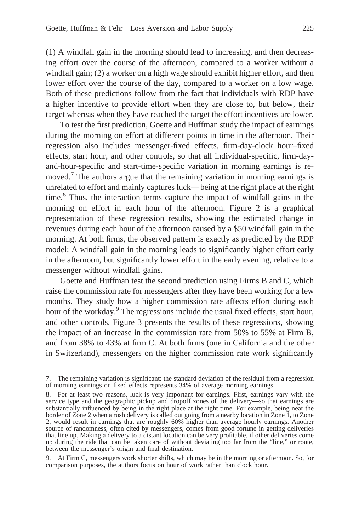(1) A windfall gain in the morning should lead to increasing, and then decreasing effort over the course of the afternoon, compared to a worker without a windfall gain; (2) a worker on a high wage should exhibit higher effort, and then lower effort over the course of the day, compared to a worker on a low wage. Both of these predictions follow from the fact that individuals with RDP have a higher incentive to provide effort when they are close to, but below, their target whereas when they have reached the target the effort incentives are lower.

To test the first prediction, Goette and Huffman study the impact of earnings during the morning on effort at different points in time in the afternoon. Their regression also includes messenger-fixed effects, firm-day-clock hour–fixed effects, start hour, and other controls, so that all individual-specific, firm-dayand-hour-specific and start-time-specific variation in morning earnings is removed.<sup>7</sup> The authors argue that the remaining variation in morning earnings is unrelated to effort and mainly captures luck—being at the right place at the right time.<sup>8</sup> Thus, the interaction terms capture the impact of windfall gains in the morning on effort in each hour of the afternoon. Figure 2 is a graphical representation of these regression results, showing the estimated change in revenues during each hour of the afternoon caused by a \$50 windfall gain in the morning. At both firms, the observed pattern is exactly as predicted by the RDP model: A windfall gain in the morning leads to significantly higher effort early in the afternoon, but significantly lower effort in the early evening, relative to a messenger without windfall gains.

Goette and Huffman test the second prediction using Firms B and C, which raise the commission rate for messengers after they have been working for a few months. They study how a higher commission rate affects effort during each hour of the workday.<sup>9</sup> The regressions include the usual fixed effects, start hour, and other controls. Figure 3 presents the results of these regressions, showing the impact of an increase in the commission rate from 50% to 55% at Firm B, and from 38% to 43% at firm C. At both firms (one in California and the other in Switzerland), messengers on the higher commission rate work significantly

<sup>7.</sup> The remaining variation is significant: the standard deviation of the residual from a regression of morning earnings on fixed effects represents 34% of average morning earnings.

<sup>8.</sup> For at least two reasons, luck is very important for earnings. First, earnings vary with the service type and the geographic pickup and dropoff zones of the delivery—so that earnings are substantially influenced by being in the right place at the right time. For example, being near the border of Zone 2 when a rush delivery is called out going from a nearby location in Zone 1, to Zone 2, would result in earnings that are roughly 60% higher than average hourly earnings. Another source of randomness, often cited by messengers, comes from good fortune in getting deliveries that line up. Making a delivery to a distant location can be very profitable, if other deliveries come up during the ride that can be taken care of without deviating too far from the "line," or route, between the messenger's origin and final destination.

<sup>9.</sup> At Firm C, messengers work shorter shifts, which may be in the morning or afternoon. So, for comparison purposes, the authors focus on hour of work rather than clock hour.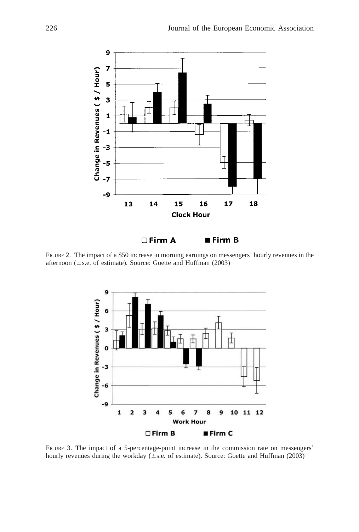

FIGURE 2. The impact of a \$50 increase in morning earnings on messengers' hourly revenues in the afternoon ( $\pm$ s.e. of estimate). Source: Goette and Huffman (2003)



FIGURE 3. The impact of a 5-percentage-point increase in the commission rate on messengers' hourly revenues during the workday ( $\pm$ s.e. of estimate). Source: Goette and Huffman (2003)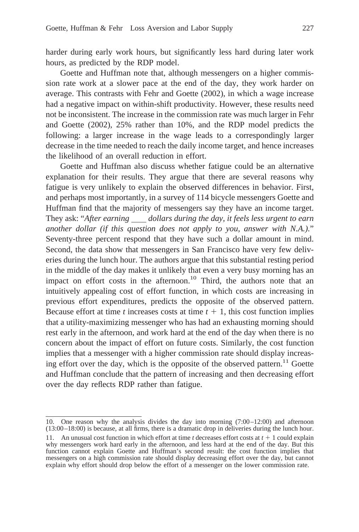harder during early work hours, but significantly less hard during later work hours, as predicted by the RDP model.

Goette and Huffman note that, although messengers on a higher commission rate work at a slower pace at the end of the day, they work harder on average. This contrasts with Fehr and Goette (2002), in which a wage increase had a negative impact on within-shift productivity. However, these results need not be inconsistent. The increase in the commission rate was much larger in Fehr and Goette (2002), 25% rather than 10%, and the RDP model predicts the following: a larger increase in the wage leads to a correspondingly larger decrease in the time needed to reach the daily income target, and hence increases the likelihood of an overall reduction in effort.

Goette and Huffman also discuss whether fatigue could be an alternative explanation for their results. They argue that there are several reasons why fatigue is very unlikely to explain the observed differences in behavior. First, and perhaps most importantly, in a survey of 114 bicycle messengers Goette and Huffman find that the majority of messengers say they have an income target. They ask: "*After earning dollars during the day, it feels less urgent to earn another dollar (if this question does not apply to you, answer with N.A.).*" Seventy-three percent respond that they have such a dollar amount in mind. Second, the data show that messengers in San Francisco have very few deliveries during the lunch hour. The authors argue that this substantial resting period in the middle of the day makes it unlikely that even a very busy morning has an impact on effort costs in the afternoon.<sup>10</sup> Third, the authors note that an intuitively appealing cost of effort function, in which costs are increasing in previous effort expenditures, predicts the opposite of the observed pattern. Because effort at time *t* increases costs at time  $t + 1$ , this cost function implies that a utility-maximizing messenger who has had an exhausting morning should rest early in the afternoon, and work hard at the end of the day when there is no concern about the impact of effort on future costs. Similarly, the cost function implies that a messenger with a higher commission rate should display increasing effort over the day, which is the opposite of the observed pattern.<sup>11</sup> Goette and Huffman conclude that the pattern of increasing and then decreasing effort over the day reflects RDP rather than fatigue.

<sup>10.</sup> One reason why the analysis divides the day into morning (7:00–12:00) and afternoon (13:00–18:00) is because, at all firms, there is a dramatic drop in deliveries during the lunch hour.

<sup>11.</sup> An unusual cost function in which effort at time *t* decreases effort costs at  $t + 1$  could explain why messengers work hard early in the afternoon, and less hard at the end of the day. But this function cannot explain Goette and Huffman's second result: the cost function implies that messengers on a high commission rate should display decreasing effort over the day, but cannot explain why effort should drop below the effort of a messenger on the lower commission rate.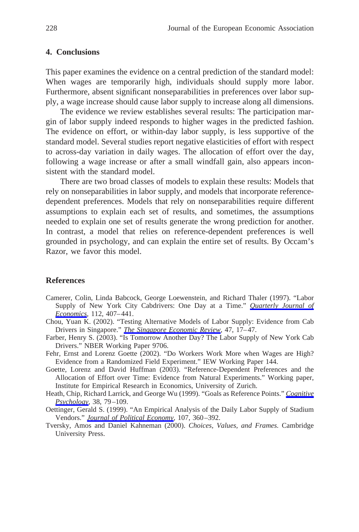## **4. Conclusions**

This paper examines the evidence on a central prediction of the standard model: When wages are temporarily high, individuals should supply more labor. Furthermore, absent significant nonseparabilities in preferences over labor supply, a wage increase should cause labor supply to increase along all dimensions.

The evidence we review establishes several results: The participation margin of labor supply indeed responds to higher wages in the predicted fashion. The evidence on effort, or within-day labor supply, is less supportive of the standard model. Several studies report negative elasticities of effort with respect to across-day variation in daily wages. The allocation of effort over the day, following a wage increase or after a small windfall gain, also appears inconsistent with the standard model.

There are two broad classes of models to explain these results: Models that rely on nonseparabilities in labor supply, and models that incorporate referencedependent preferences. Models that rely on nonseparabilities require different assumptions to explain each set of results, and sometimes, the assumptions needed to explain one set of results generate the wrong prediction for another. In contrast, a model that relies on reference-dependent preferences is well grounded in psychology, and can explain the entire set of results. By Occam's Razor, we favor this model.

#### **References**

- Camerer, Colin, Linda Babcock, George Loewenstein, and Richard Thaler (1997). "Labor Supply of New York City Cabdrivers: One Day at a Time." *Quarterly Journal of Economics,* 112, 407–441.
- Chou, Yuan K. (2002). "Testing Alternative Models of Labor Supply: Evidence from Cab Drivers in Singapore." *The Singapore Economic Review,* 47, 17–47.
- Farber, Henry S. (2003). "Is Tomorrow Another Day? The Labor Supply of New York Cab Drivers." NBER Working Paper 9706.
- Fehr, Ernst and Lorenz Goette (2002). "Do Workers Work More when Wages are High? Evidence from a Randomized Field Experiment." IEW Working Paper 144.
- Goette, Lorenz and David Huffman (2003). "Reference-Dependent Preferences and the Allocation of Effort over Time: Evidence from Natural Experiments." Working paper, Institute for Empirical Research in Economics, University of Zurich.
- Heath, Chip, Richard Larrick, and George Wu (1999). "Goals as Reference Points." *Cognitive Psychology,* 38, 79–109.
- Oettinger, Gerald S. (1999). "An Empirical Analysis of the Daily Labor Supply of Stadium Vendors." *Journal of Political Economy,* 107, 360–392.
- Tversky, Amos and Daniel Kahneman (2000). *Choices, Values, and Frames.* Cambridge University Press.